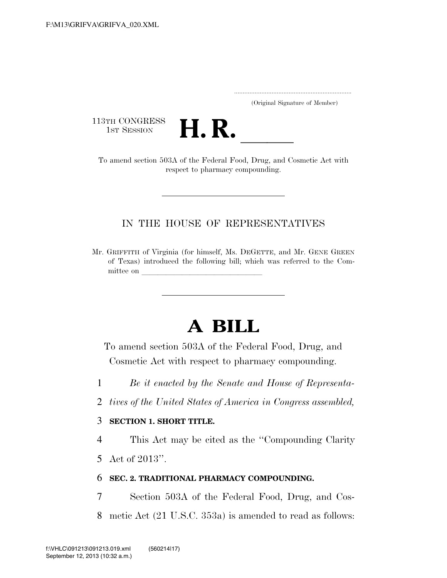.....................................................................

(Original Signature of Member)

113TH CONGRESS<br>1st Session



13TH CONGRESS<br>1st SESSION **H. R.** <u>Indicated Food, Drug, and Cosmetic Act with</u> respect to pharmacy compounding.

## IN THE HOUSE OF REPRESENTATIVES

Mr. GRIFFITH of Virginia (for himself, Ms. DEGETTE, and Mr. GENE GREEN of Texas) introduced the following bill; which was referred to the Committee on

# **A BILL**

To amend section 503A of the Federal Food, Drug, and Cosmetic Act with respect to pharmacy compounding.

- 1 *Be it enacted by the Senate and House of Representa-*
- 2 *tives of the United States of America in Congress assembled,*

### 3 **SECTION 1. SHORT TITLE.**

4 This Act may be cited as the ''Compounding Clarity

5 Act of 2013''.

### 6 **SEC. 2. TRADITIONAL PHARMACY COMPOUNDING.**

7 Section 503A of the Federal Food, Drug, and Cos-8 metic Act (21 U.S.C. 353a) is amended to read as follows: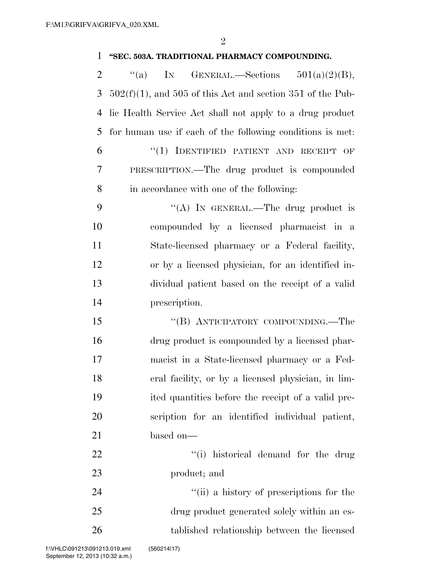## **''SEC. 503A. TRADITIONAL PHARMACY COMPOUNDING.**

| $\overline{2}$ | ``(a)<br>IN<br>GENERAL.—Sections $501(a)(2)(B)$ ,             |
|----------------|---------------------------------------------------------------|
| 3              | $502(f)(1)$ , and 505 of this Act and section 351 of the Pub- |
| 4              | lic Health Service Act shall not apply to a drug product      |
| 5              | for human use if each of the following conditions is met.     |
| 6              | "(1) IDENTIFIED PATIENT AND RECEIPT OF                        |
| 7              | PRESCRIPTION.—The drug product is compounded                  |
| 8              | in accordance with one of the following:                      |
| 9              | "(A) IN GENERAL.—The drug product is                          |
| 10             | compounded by a licensed pharmacist in a                      |
| 11             | State-licensed pharmacy or a Federal facility,                |
| 12             | or by a licensed physician, for an identified in-             |
| 13             | dividual patient based on the receipt of a valid              |
| 14             | prescription.                                                 |
| 15             | "(B) ANTICIPATORY COMPOUNDING.—The                            |
| 16             | drug product is compounded by a licensed phar-                |
| 17             | macist in a State-licensed pharmacy or a Fed-                 |
| 18             | eral facility, or by a licensed physician, in lim-            |
| 19             | ited quantities before the receipt of a valid pre-            |
| 20             | scription for an identified individual patient,               |
| 21             | based on-                                                     |
| 22             | "(i) historical demand for the drug                           |
| 23             | product; and                                                  |
| 24             | "(ii) a history of prescriptions for the                      |
| 25             | drug product generated solely within an es-                   |
| 26             | tablished relationship between the licensed                   |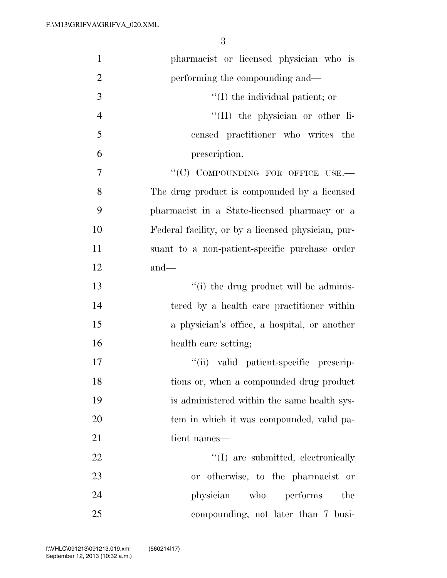| $\mathbf{1}$   | pharmacist or licensed physician who is            |
|----------------|----------------------------------------------------|
| $\overline{2}$ | performing the compounding and—                    |
| 3              | $\lq\lq$ (I) the individual patient; or            |
| $\overline{4}$ | "(II) the physician or other li-                   |
| 5              | censed practitioner who writes the                 |
| 6              | prescription.                                      |
| $\overline{7}$ | "(C) COMPOUNDING FOR OFFICE USE.-                  |
| 8              | The drug product is compounded by a licensed       |
| 9              | pharmacist in a State-licensed pharmacy or a       |
| 10             | Federal facility, or by a licensed physician, pur- |
| 11             | suant to a non-patient-specific purchase order     |
| 12             | $and$ —                                            |
| 13             | "(i) the drug product will be adminis-             |
| 14             | tered by a health care practitioner within         |
| 15             | a physician's office, a hospital, or another       |
| 16             | health care setting;                               |
| 17             | "(ii) valid patient-specific prescrip-             |
| 18             | tions or, when a compounded drug product           |
| 19             | is administered within the same health sys-        |
| 20             | tem in which it was compounded, valid pa-          |
| 21             | tient names—                                       |
| 22             | $\lq\lq$ are submitted, electronically             |
| 23             | or otherwise, to the pharmacist or                 |
| 24             | physician who performs<br>the                      |
| 25             | compounding, not later than 7 busi-                |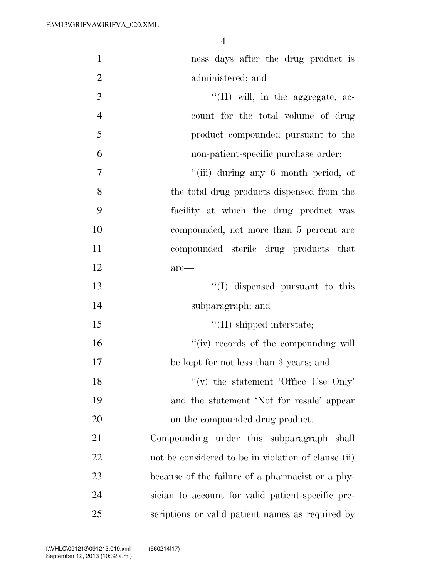| $\mathbf{1}$   | ness days after the drug product is                 |
|----------------|-----------------------------------------------------|
| $\overline{2}$ | administered; and                                   |
| 3              | "(II) will, in the aggregate, ac-                   |
| $\overline{4}$ | count for the total volume of drug                  |
| 5              | product compounded pursuant to the                  |
| 6              | non-patient-specific purchase order;                |
| 7              | "(iii) during any 6 month period, of                |
| 8              | the total drug products dispensed from the          |
| 9              | facility at which the drug product was              |
| 10             | compounded, not more than 5 percent are             |
| 11             | compounded sterile drug products that               |
| 12             | $are-$                                              |
| 13             | $\lq\lq$ (I) dispensed pursuant to this             |
| 14             | subparagraph; and                                   |
| 15             | $\lq\lq$ (II) shipped interstate;                   |
| 16             | "(iv) records of the compounding will               |
| 17             | be kept for not less than 3 years; and              |
| 18             | "(v) the statement 'Office Use Only'                |
| 19             | and the statement 'Not for resale' appear           |
| 20             | on the compounded drug product.                     |
| 21             | Compounding under this subparagraph shall           |
| 22             | not be considered to be in violation of clause (ii) |
| 23             | because of the failure of a pharmacist or a phy-    |
| 24             | sician to account for valid patient-specific pre-   |
| 25             | scriptions or valid patient names as required by    |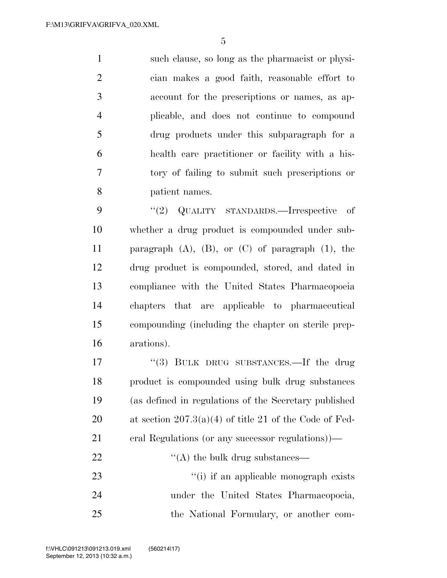such clause, so long as the pharmacist or physi- cian makes a good faith, reasonable effort to account for the prescriptions or names, as ap- plicable, and does not continue to compound drug products under this subparagraph for a health care practitioner or facility with a his- tory of failing to submit such prescriptions or patient names.

9 "(2) QUALITY STANDARDS.—Irrespective of whether a drug product is compounded under sub-11 paragraph  $(A)$ ,  $(B)$ , or  $(C)$  of paragraph  $(1)$ , the drug product is compounded, stored, and dated in compliance with the United States Pharmacopoeia chapters that are applicable to pharmaceutical compounding (including the chapter on sterile prep-arations).

17 "(3) BULK DRUG SUBSTANCES.—If the drug product is compounded using bulk drug substances (as defined in regulations of the Secretary published at section 207.3(a)(4) of title 21 of the Code of Fed- eral Regulations (or any successor regulations))—  $\langle (A)$  the bulk drug substances—  $\frac{1}{1}$  if an applicable monograph exists under the United States Pharmacopoeia, the National Formulary, or another com-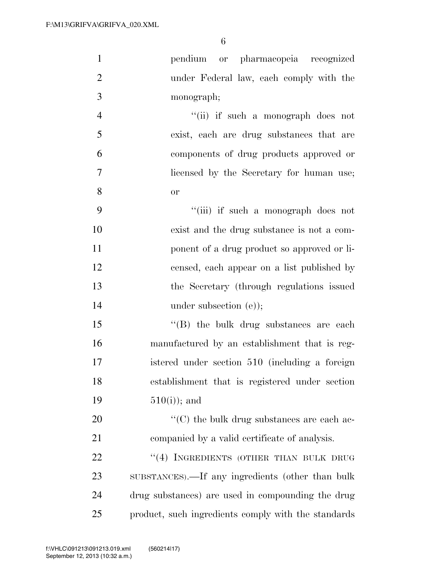| $\mathbf{1}$   | pendium or pharmacopeia recognized                  |
|----------------|-----------------------------------------------------|
| $\overline{2}$ | under Federal law, each comply with the             |
| 3              | monograph;                                          |
| $\overline{4}$ | "(ii) if such a monograph does not                  |
| 5              | exist, each are drug substances that are            |
| 6              | components of drug products approved or             |
| 7              | licensed by the Secretary for human use;            |
| 8              | or                                                  |
| 9              | "(iii) if such a monograph does not                 |
| 10             | exist and the drug substance is not a com-          |
| 11             | ponent of a drug product so approved or li-         |
| 12             | censed, each appear on a list published by          |
| 13             | the Secretary (through regulations issued           |
| 14             | under subsection $(e)$ ;                            |
| 15             | $\lq\lq$ the bulk drug substances are each          |
| 16             | manufactured by an establishment that is reg-       |
| 17             | istered under section 510 (including a foreign      |
| 18             | establishment that is registered under section      |
| 19             | $510(i)$ ; and                                      |
| 20             | " $(C)$ the bulk drug substances are each ac-       |
| 21             | companied by a valid certificate of analysis.       |
| 22             | "(4) INGREDIENTS (OTHER THAN BULK DRUG              |
| 23             | SUBSTANCES).—If any ingredients (other than bulk    |
| 24             | drug substances) are used in compounding the drug   |
| 25             | product, such ingredients comply with the standards |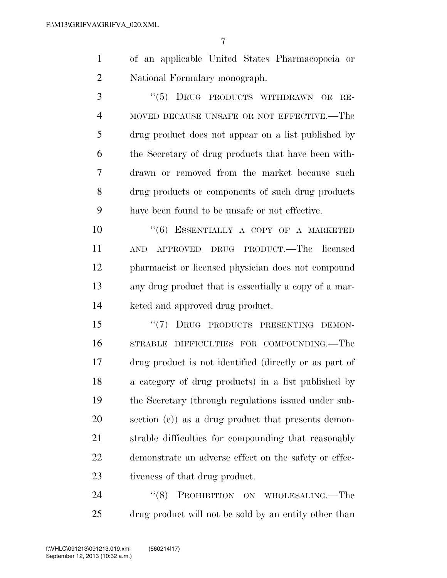| of an applicable United States Pharmacopoeia or |  |
|-------------------------------------------------|--|
| National Formulary monograph.                   |  |

3 "(5) DRUG PRODUCTS WITHDRAWN OR RE- MOVED BECAUSE UNSAFE OR NOT EFFECTIVE.—The drug product does not appear on a list published by the Secretary of drug products that have been with- drawn or removed from the market because such drug products or components of such drug products have been found to be unsafe or not effective.

10 "(6) ESSENTIALLY A COPY OF A MARKETED AND APPROVED DRUG PRODUCT.—The licensed pharmacist or licensed physician does not compound any drug product that is essentially a copy of a mar-keted and approved drug product.

15 "(7) DRUG PRODUCTS PRESENTING DEMON- STRABLE DIFFICULTIES FOR COMPOUNDING.—The drug product is not identified (directly or as part of a category of drug products) in a list published by the Secretary (through regulations issued under sub- section (e)) as a drug product that presents demon- strable difficulties for compounding that reasonably demonstrate an adverse effect on the safety or effec-tiveness of that drug product.

24 "(8) PROHIBITION ON WHOLESALING.—The drug product will not be sold by an entity other than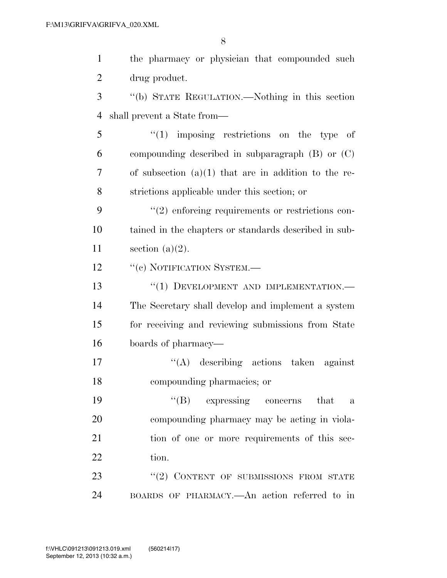| $\mathbf{1}$   | the pharmacy or physician that compounded such         |
|----------------|--------------------------------------------------------|
| $\overline{2}$ | drug product.                                          |
| 3              | "(b) STATE REGULATION.—Nothing in this section         |
| 4              | shall prevent a State from—                            |
| 5              | $(1)$ imposing restrictions on the type of             |
| 6              | compounding described in subparagraph $(B)$ or $(C)$   |
| 7              | of subsection $(a)(1)$ that are in addition to the re- |
| 8              | strictions applicable under this section; or           |
| 9              | $\lq(2)$ enforcing requirements or restrictions con-   |
| 10             | tained in the chapters or standards described in sub-  |
| 11             | section $(a)(2)$ .                                     |
| 12             | "(c) NOTIFICATION SYSTEM.-                             |
| 13             | "(1) DEVELOPMENT AND IMPLEMENTATION.-                  |
| 14             | The Secretary shall develop and implement a system     |
| 15             | for receiving and reviewing submissions from State     |
| 16             | boards of pharmacy—                                    |
| 17             | $\lq\lq$ describing actions taken against              |
| 18             | compounding pharmacies; or                             |
| 19             | "(B) expressing concerns that<br>a                     |
| 20             | compounding pharmacy may be acting in viola-           |
| 21             | tion of one or more requirements of this sec-          |
| 22             | tion.                                                  |
| 23             | "(2) CONTENT OF SUBMISSIONS FROM STATE                 |
| 24             | BOARDS OF PHARMACY.—An action referred to in           |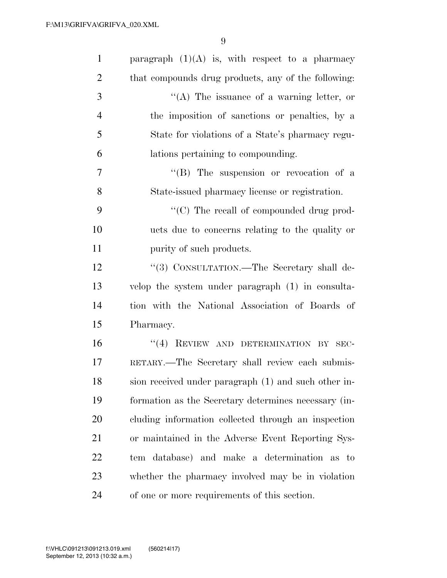| $\mathbf{1}$   | paragraph $(1)(A)$ is, with respect to a pharmacy    |
|----------------|------------------------------------------------------|
| $\overline{2}$ | that compounds drug products, any of the following:  |
| 3              | "(A) The issuance of a warning letter, or            |
| $\overline{4}$ | the imposition of sanctions or penalties, by a       |
| 5              | State for violations of a State's pharmacy regu-     |
| 6              | lations pertaining to compounding.                   |
| $\tau$         | "(B) The suspension or revocation of a               |
| 8              | State-issued pharmacy license or registration.       |
| 9              | "(C) The recall of compounded drug prod-             |
| 10             | ucts due to concerns relating to the quality or      |
| 11             | purity of such products.                             |
| 12             | "(3) CONSULTATION.—The Secretary shall de-           |
| 13             | velop the system under paragraph (1) in consulta-    |
| 14             | tion with the National Association of Boards of      |
| 15             | Pharmacy.                                            |
| 16             | "(4) REVIEW AND DETERMINATION BY SEC-                |
| 17             | RETARY.—The Secretary shall review each submis-      |
| 18             | sion received under paragraph (1) and such other in- |
| 19             | formation as the Secretary determines necessary (in- |
| 20             | cluding information collected through an inspection  |
| 21             | or maintained in the Adverse Event Reporting Sys-    |
| 22             | tem database) and make a determination as to         |
| 23             | whether the pharmacy involved may be in violation    |
| 24             | of one or more requirements of this section.         |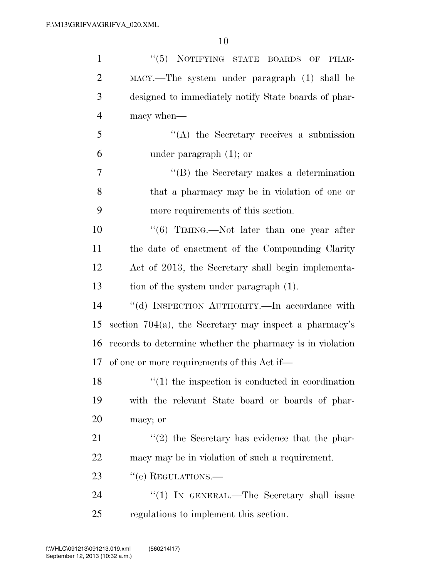| $\mathbf{1}$   | "(5) NOTIFYING STATE BOARDS OF PHAR-                      |
|----------------|-----------------------------------------------------------|
| $\overline{2}$ | MACY.—The system under paragraph (1) shall be             |
| 3              | designed to immediately notify State boards of phar-      |
| $\overline{4}$ | macy when—                                                |
| 5              | $\lq\lq$ the Secretary receives a submission              |
| 6              | under paragraph $(1)$ ; or                                |
| $\overline{7}$ | $\lq\lq$ the Secretary makes a determination              |
| 8              | that a pharmacy may be in violation of one or             |
| 9              | more requirements of this section.                        |
| 10             | " $(6)$ TIMING.—Not later than one year after             |
| 11             | the date of enactment of the Compounding Clarity          |
| 12             | Act of 2013, the Secretary shall begin implementa-        |
| 13             | tion of the system under paragraph (1).                   |
| 14             | "(d) INSPECTION AUTHORITY.—In accordance with             |
| 15             | section $704(a)$ , the Secretary may inspect a pharmacy's |
| 16             | records to determine whether the pharmacy is in violation |
| 17             | of one or more requirements of this Act if—               |
| 18             | $f(1)$ the inspection is conducted in coordination        |
| 19             | with the relevant State board or boards of phar-          |
| 20             | macy; or                                                  |
| 21             | $\lq(2)$ the Secretary has evidence that the phar-        |
| 22             | macy may be in violation of such a requirement.           |
| 23             | "(e) REGULATIONS.-                                        |
| 24             | "(1) IN GENERAL.—The Secretary shall issue                |
| 25             | regulations to implement this section.                    |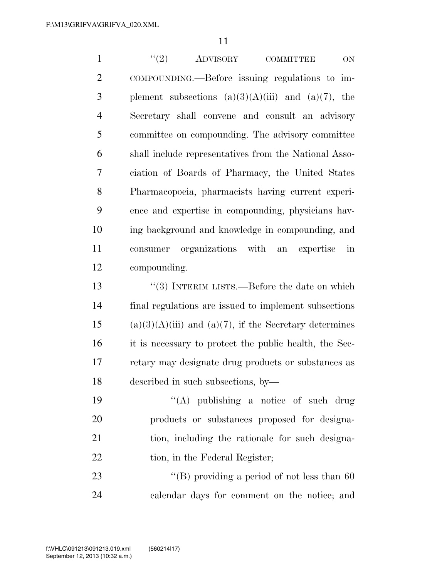1 ''(2) ADVISORY COMMITTEE ON COMPOUNDING.—Before issuing regulations to im-3 plement subsections  $(a)(3)(A)(iii)$  and  $(a)(7)$ , the Secretary shall convene and consult an advisory committee on compounding. The advisory committee shall include representatives from the National Asso- ciation of Boards of Pharmacy, the United States Pharmacopoeia, pharmacists having current experi- ence and expertise in compounding, physicians hav- ing background and knowledge in compounding, and consumer organizations with an expertise in compounding.

 ''(3) INTERIM LISTS.—Before the date on which final regulations are issued to implement subsections 15 (a)(3)(A)(iii) and (a)(7), if the Secretary determines it is necessary to protect the public health, the Sec- retary may designate drug products or substances as described in such subsections, by—

 ''(A) publishing a notice of such drug products or substances proposed for designa- tion, including the rationale for such designa-22 tion, in the Federal Register;

23 ''(B) providing a period of not less than 60 calendar days for comment on the notice; and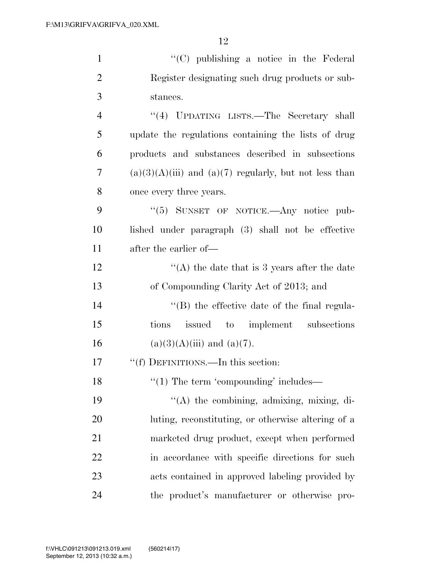| $\mathbf{1}$   | $\lq\lq$ (C) publishing a notice in the Federal            |
|----------------|------------------------------------------------------------|
| $\overline{2}$ | Register designating such drug products or sub-            |
| 3              | stances.                                                   |
| $\overline{4}$ | "(4) UPDATING LISTS.—The Secretary shall                   |
| 5              | update the regulations containing the lists of drug        |
| 6              | products and substances described in subsections           |
| 7              | $(a)(3)(A)(iii)$ and $(a)(7)$ regularly, but not less than |
| 8              | once every three years.                                    |
| 9              | "(5) SUNSET OF NOTICE.—Any notice pub-                     |
| 10             | lished under paragraph (3) shall not be effective          |
| 11             | after the earlier of—                                      |
| 12             | "(A) the date that is 3 years after the date               |
| 13             | of Compounding Clarity Act of 2013; and                    |
| 14             | "(B) the effective date of the final regula-               |
| 15             | issued to implement subsections<br>tions                   |
| 16             | $(a)(3)(A)(iii)$ and $(a)(7)$ .                            |
| 17             | "(f) DEFINITIONS.—In this section:                         |
| 18             | $\lq(1)$ The term 'compounding' includes—                  |
| 19             | "(A) the combining, admixing, mixing, di-                  |
| 20             | luting, reconstituting, or otherwise altering of a         |
| 21             | marketed drug product, except when performed               |
| <u>22</u>      | in accordance with specific directions for such            |
| 23             | acts contained in approved labeling provided by            |
| 24             | the product's manufacturer or otherwise pro-               |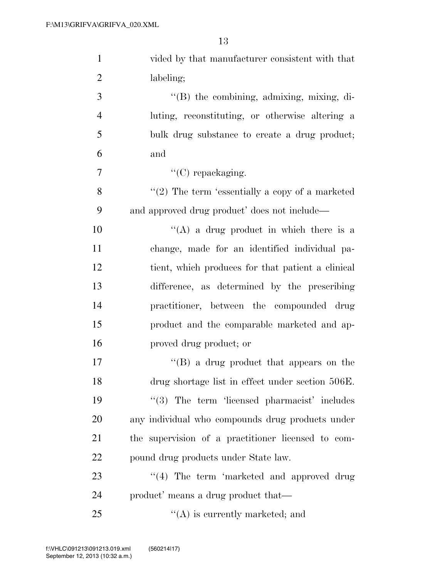| $\mathbf{1}$   | vided by that manufacturer consistent with that    |
|----------------|----------------------------------------------------|
| $\overline{2}$ | labeling;                                          |
| 3              | "(B) the combining, admixing, mixing, di-          |
| $\overline{4}$ | luting, reconstituting, or otherwise altering a    |
| 5              | bulk drug substance to create a drug product;      |
| 6              | and                                                |
| 7              | " $(C)$ repackaging.                               |
| 8              | $"(2)$ The term 'essentially a copy of a marketed  |
| 9              | and approved drug product' does not include—       |
| 10             | "(A) a drug product in which there is a            |
| 11             | change, made for an identified individual pa-      |
| 12             | tient, which produces for that patient a clinical  |
| 13             | difference, as determined by the prescribing       |
| 14             | practitioner, between the compounded drug          |
| 15             | product and the comparable marketed and ap-        |
| 16             | proved drug product; or                            |
| 17             | $\lq\lq (B)$ a drug product that appears on the    |
| 18             | drug shortage list in effect under section 506E.   |
| 19             | "(3) The term 'licensed pharmacist' includes       |
| 20             | any individual who compounds drug products under   |
| 21             | the supervision of a practitioner licensed to com- |
| 22             | pound drug products under State law.               |
| 23             | $(4)$ The term 'marketed and approved drug         |
| 24             | product' means a drug product that—                |
| 25             | $\lq\lq$ is currently marketed; and                |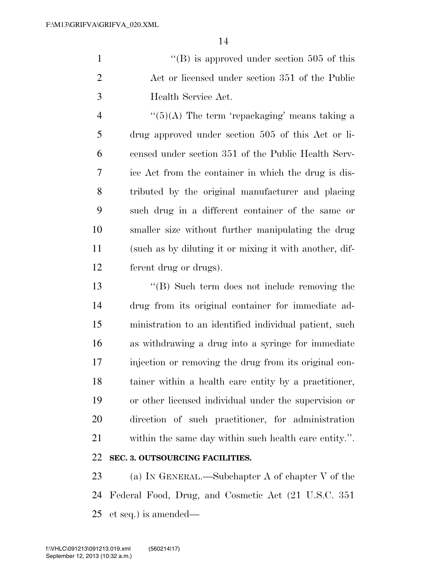1 ''(B) is approved under section 505 of this 2 Act or licensed under section 351 of the Public Health Service Act.

 $\frac{4}{(5)}$  A) The term 'repackaging' means taking a drug approved under section 505 of this Act or li- censed under section 351 of the Public Health Serv- ice Act from the container in which the drug is dis- tributed by the original manufacturer and placing such drug in a different container of the same or smaller size without further manipulating the drug (such as by diluting it or mixing it with another, dif-ferent drug or drugs).

 ''(B) Such term does not include removing the drug from its original container for immediate ad- ministration to an identified individual patient, such as withdrawing a drug into a syringe for immediate injection or removing the drug from its original con- tainer within a health care entity by a practitioner, or other licensed individual under the supervision or direction of such practitioner, for administration within the same day within such health care entity.''. **SEC. 3. OUTSOURCING FACILITIES.** 

 (a) IN GENERAL.—Subchapter A of chapter V of the Federal Food, Drug, and Cosmetic Act (21 U.S.C. 351 et seq.) is amended—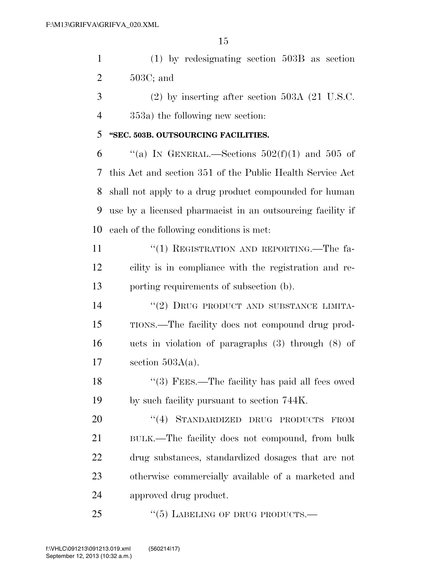(1) by redesignating section 503B as section 503C; and

 (2) by inserting after section 503A (21 U.S.C. 353a) the following new section:

### **''SEC. 503B. OUTSOURCING FACILITIES.**

 $\qquad$  "(a) In GENERAL.—Sections 502(f)(1) and 505 of this Act and section 351 of the Public Health Service Act shall not apply to a drug product compounded for human use by a licensed pharmacist in an outsourcing facility if each of the following conditions is met:

11 "(1) REGISTRATION AND REPORTING.—The fa- cility is in compliance with the registration and re-porting requirements of subsection (b).

14 "(2) DRUG PRODUCT AND SUBSTANCE LIMITA- TIONS.—The facility does not compound drug prod- ucts in violation of paragraphs (3) through (8) of section 503A(a).

18 "(3) FEES.—The facility has paid all fees owed by such facility pursuant to section 744K.

20 "(4) STANDARDIZED DRUG PRODUCTS FROM BULK.—The facility does not compound, from bulk drug substances, standardized dosages that are not otherwise commercially available of a marketed and approved drug product.

25 "(5) LABELING OF DRUG PRODUCTS.—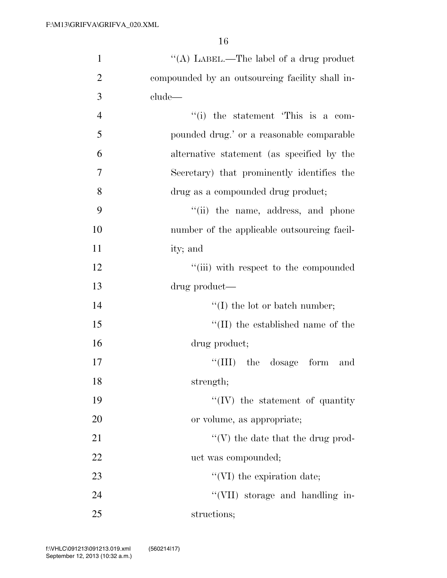| $\mathbf{1}$   | "(A) LABEL.—The label of a drug product         |
|----------------|-------------------------------------------------|
| $\overline{2}$ | compounded by an outsourcing facility shall in- |
| 3              | clude—                                          |
| $\overline{4}$ | "(i) the statement 'This is a com-              |
| 5              | pounded drug.' or a reasonable comparable       |
| 6              | alternative statement (as specified by the      |
| 7              | Secretary) that prominently identifies the      |
| 8              | drug as a compounded drug product;              |
| 9              | "(ii) the name, address, and phone              |
| 10             | number of the applicable outsourcing facil-     |
| 11             | ity; and                                        |
| 12             | "(iii) with respect to the compounded           |
| 13             | drug product—                                   |
| 14             | $\lq\lq$ (I) the lot or batch number;           |
| 15             | $\lq$ (II) the established name of the          |
| 16             | drug product;                                   |
| 17             | $\lq\lq$ (III) the dosage form<br>and           |
| 18             | strength;                                       |
| 19             | $``(IV)$ the statement of quantity              |
| 20             | or volume, as appropriate;                      |
| 21             | $\lq\lq(V)$ the date that the drug prod-        |
| 22             | uct was compounded;                             |
| 23             | $\lq\lq$ (VI) the expiration date;              |
| 24             | "(VII) storage and handling in-                 |
| 25             | structions;                                     |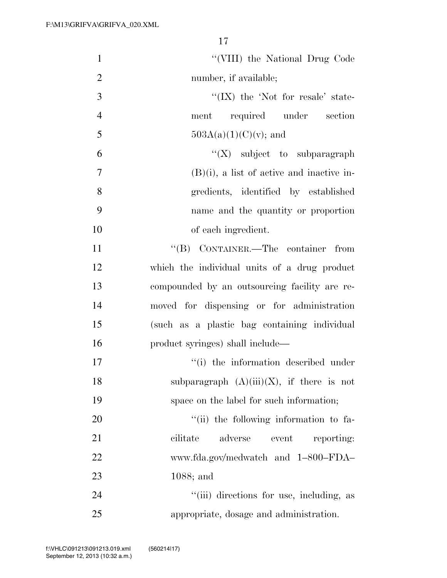| $\mathbf{1}$   | "(VIII) the National Drug Code                |
|----------------|-----------------------------------------------|
| $\overline{2}$ | number, if available;                         |
| 3              | $\lq\lq$ (IX) the 'Not for resale' state-     |
| $\overline{4}$ | required under section<br>ment                |
| 5              | $503A(a)(1)(C)(v)$ ; and                      |
| 6              | $\lq\lq (X)$ subject to subparagraph          |
| $\overline{7}$ | $(B)(i)$ , a list of active and inactive in-  |
| 8              | gredients, identified by established          |
| 9              | name and the quantity or proportion           |
| 10             | of each ingredient.                           |
| 11             | "(B) CONTAINER.—The container from            |
| 12             | which the individual units of a drug product  |
| 13             | compounded by an outsourcing facility are re- |
| 14             | moved for dispensing or for administration    |
| 15             | (such as a plastic bag containing individual  |
| 16             | product syringes) shall include—              |
| 17             | "(i) the information described under          |
| 18             | subparagraph $(A)(iii)(X)$ , if there is not  |
| 19             | space on the label for such information;      |
| 20             | "(ii) the following information to fa-        |
| 21             | adverse<br>cilitate<br>event<br>reporting:    |
| 22             | www.fda.gov/medwatch and 1-800-FDA-           |
| 23             | $1088$ ; and                                  |
| 24             | "(iii) directions for use, including, as      |
| 25             | appropriate, dosage and administration.       |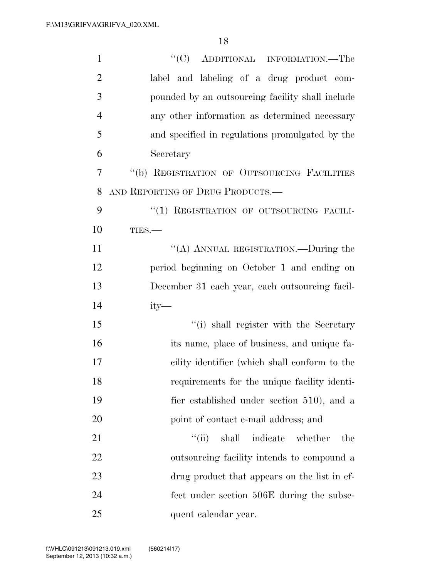| $\mathbf{1}$   | "(C) ADDITIONAL INFORMATION.—The                 |
|----------------|--------------------------------------------------|
| $\overline{2}$ | label and labeling of a drug product com-        |
| 3              | pounded by an outsourcing facility shall include |
| $\overline{4}$ | any other information as determined necessary    |
| 5              | and specified in regulations promulgated by the  |
| 6              | Secretary                                        |
| 7              | "(b) REGISTRATION OF OUTSOURCING FACILITIES      |
| 8              | AND REPORTING OF DRUG PRODUCTS.-                 |
| 9              | "(1) REGISTRATION OF OUTSOURCING FACILI-         |
| 10             | TIES.                                            |
| 11             | "(A) ANNUAL REGISTRATION.—During the             |
| 12             | period beginning on October 1 and ending on      |
| 13             | December 31 each year, each outsourcing facil-   |
| 14             | $ity-$                                           |
| 15             | "(i) shall register with the Secretary           |
| 16             | its name, place of business, and unique fa-      |
| 17             | cility identifier (which shall conform to the    |
| 18             | requirements for the unique facility identi-     |
| 19             | fier established under section 510), and a       |
| 20             | point of contact e-mail address; and             |
| 21             | ``(ii)<br>shall indicate<br>whether<br>the       |
| 22             | outsourcing facility intends to compound a       |
| 23             | drug product that appears on the list in ef-     |
| 24             | fect under section 506E during the subse-        |
| 25             | quent calendar year.                             |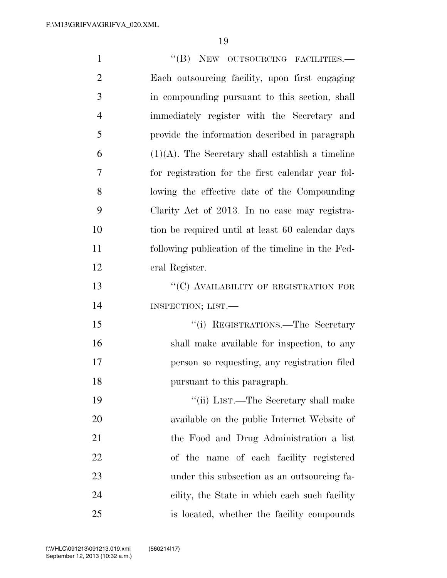| $\mathbf{1}$   | "(B) NEW OUTSOURCING FACILITIES.-                   |
|----------------|-----------------------------------------------------|
| $\overline{2}$ | Each outsourcing facility, upon first engaging      |
| 3              | in compounding pursuant to this section, shall      |
| $\overline{4}$ | immediately register with the Secretary and         |
| 5              | provide the information described in paragraph      |
| 6              | $(1)(A)$ . The Secretary shall establish a timeline |
| 7              | for registration for the first calendar year fol-   |
| 8              | lowing the effective date of the Compounding        |
| 9              | Clarity Act of 2013. In no case may registra-       |
| 10             | tion be required until at least 60 calendar days    |
| 11             | following publication of the timeline in the Fed-   |
| 12             | eral Register.                                      |
| 13             | "(C) AVAILABILITY OF REGISTRATION FOR               |
| 14             | INSPECTION; LIST.                                   |
| 15             | "(i) REGISTRATIONS.—The Secretary                   |
| 16             | shall make available for inspection, to any         |
| 17             | person so requesting, any registration filed        |
| 18             | pursuant to this paragraph.                         |
| 19             | "(ii) LIST.—The Secretary shall make                |
| 20             | available on the public Internet Website of         |
| 21             | the Food and Drug Administration a list             |
| 22             | of the name of each facility registered             |
| 23             | under this subsection as an outsourcing fa-         |
| 24             | cility, the State in which each such facility       |
| 25             | is located, whether the facility compounds          |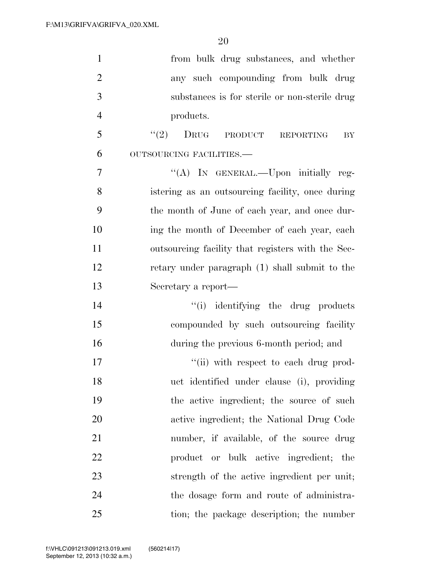| $\mathbf{1}$   | from bulk drug substances, and whether            |
|----------------|---------------------------------------------------|
| $\overline{2}$ | any such compounding from bulk drug               |
| 3              | substances is for sterile or non-sterile drug     |
| $\overline{4}$ | products.                                         |
| 5              | (2)<br>DRUG PRODUCT REPORTING<br>BY               |
| 6              | OUTSOURCING FACILITIES.-                          |
| $\overline{7}$ | "(A) IN GENERAL.—Upon initially reg-              |
| 8              | istering as an outsourcing facility, once during  |
| 9              | the month of June of each year, and once dur-     |
| 10             | ing the month of December of each year, each      |
| 11             | outsourcing facility that registers with the Sec- |
| 12             | retary under paragraph (1) shall submit to the    |
| 13             | Secretary a report-                               |
| 14             | "(i) identifying the drug products                |
| 15             | compounded by such outsourcing facility           |
| 16             | during the previous 6-month period; and           |
| 17             | "(ii) with respect to each drug prod-             |
| 18             | uct identified under clause (i), providing        |
| 19             | the active ingredient; the source of such         |
| 20             | active ingredient; the National Drug Code         |
| 21             | number, if available, of the source drug          |
| 22             | product or bulk active ingredient; the            |
| 23             | strength of the active ingredient per unit;       |
| 24             | the dosage form and route of administra-          |
| 25             | tion; the package description; the number         |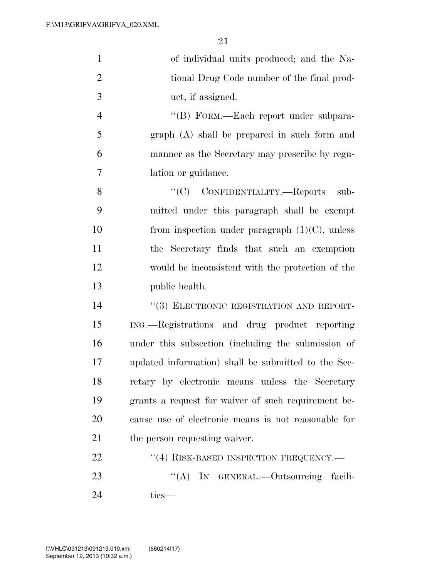| $\mathbf{1}$   | of individual units produced; and the Na-           |
|----------------|-----------------------------------------------------|
| $\overline{2}$ | tional Drug Code number of the final prod-          |
| 3              | uct, if assigned.                                   |
| $\overline{4}$ | "(B) FORM.—Each report under subpara-               |
| 5              | graph (A) shall be prepared in such form and        |
| 6              | manner as the Secretary may prescribe by regu-      |
| 7              | lation or guidance.                                 |
| 8              | "(C) CONFIDENTIALITY.—Reports<br>sub-               |
| 9              | mitted under this paragraph shall be exempt         |
| 10             | from inspection under paragraph $(1)(C)$ , unless   |
| 11             | the Secretary finds that such an exemption          |
| 12             | would be inconsistent with the protection of the    |
| 13             | public health.                                      |
| 14             | "(3) ELECTRONIC REGISTRATION AND REPORT-            |
| 15             | ING.—Registrations and drug product reporting       |
| 16             | under this subsection (including the submission of  |
| 17             | updated information) shall be submitted to the Sec- |
| 18             | retary by electronic means unless the Secretary     |
| 19             | grants a request for waiver of such requirement be- |
| 20             | cause use of electronic means is not reasonable for |
| 21             | the person requesting waiver.                       |
| 22             | "(4) RISK-BASED INSPECTION FREQUENCY.-              |
| 23             | "(A) IN GENERAL.—Outsourcing facili-                |
| 24             | ties-                                               |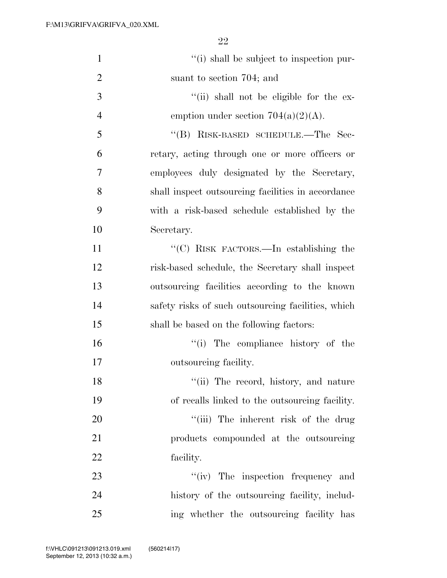| $\mathbf{1}$   | "(i) shall be subject to inspection pur-           |
|----------------|----------------------------------------------------|
| $\overline{2}$ | suant to section 704; and                          |
| 3              | "(ii) shall not be eligible for the ex-            |
| $\overline{4}$ | emption under section $704(a)(2)(A)$ .             |
| 5              | "(B) RISK-BASED SCHEDULE.—The Sec-                 |
| 6              | retary, acting through one or more officers or     |
| 7              | employees duly designated by the Secretary,        |
| 8              | shall inspect outsourcing facilities in accordance |
| 9              | with a risk-based schedule established by the      |
| 10             | Secretary.                                         |
| 11             | "(C) RISK FACTORS.—In establishing the             |
| 12             | risk-based schedule, the Secretary shall inspect   |
| 13             | outsourcing facilities according to the known      |
| 14             | safety risks of such outsourcing facilities, which |
| 15             | shall be based on the following factors:           |
| 16             | "(i) The compliance history of the                 |
| 17             | outsourcing facility.                              |
| 18             | "(ii) The record, history, and nature              |
| 19             | of recalls linked to the outsourcing facility.     |
| 20             | "(iii) The inherent risk of the drug               |
| 21             | products compounded at the outsourcing             |
| 22             | facility.                                          |
| 23             | "(iv) The inspection frequency and                 |
| 24             | history of the outsourcing facility, includ-       |
| 25             | ing whether the outsourcing facility has           |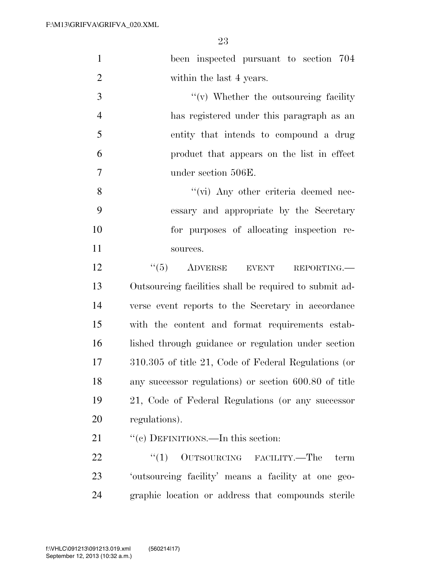|                | 23                                                     |
|----------------|--------------------------------------------------------|
| $\mathbf{1}$   | been inspected pursuant to section 704                 |
| $\mathfrak{2}$ | within the last 4 years.                               |
| 3              | $f'(v)$ Whether the outsourcing facility               |
| $\overline{4}$ | has registered under this paragraph as an              |
| 5              | entity that intends to compound a drug                 |
| 6              | product that appears on the list in effect             |
| 7              | under section 506E.                                    |
| 8              | $\lq\lq$ (vi) Any other criteria deemed nec-           |
| 9              | essary and appropriate by the Secretary                |
| 10             | for purposes of allocating inspection re-              |
| 11             | sources.                                               |
| 12             | ``(5)<br>ADVERSE EVENT<br>REPORTING.                   |
| 13             | Outsourcing facilities shall be required to submit ad- |
| 14             | verse event reports to the Secretary in accordance     |
| 15             | with the content and format requirements estab-        |
| 16             | lished through guidance or regulation under section    |
| 17             | 310.305 of title 21, Code of Federal Regulations (or   |
| 18             | any successor regulations) or section 600.80 of title  |
| 19             | 21, Code of Federal Regulations (or any successor      |
| 20             | regulations).                                          |

21 "(c) DEFINITIONS.—In this section:

22  $\text{``(1)}$  OUTSOURCING FACILITY.—The term 'outsourcing facility' means a facility at one geo-graphic location or address that compounds sterile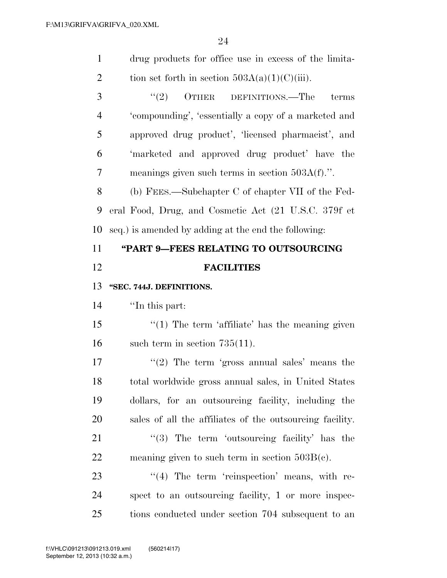| $\mathbf{1}$   |                                                          |
|----------------|----------------------------------------------------------|
|                | drug products for office use in excess of the limita-    |
| $\overline{2}$ | tion set forth in section $503A(a)(1)(C(iii))$ .         |
| 3              | (2)<br>OTHER DEFINITIONS.—The<br>terms                   |
| $\overline{4}$ | 'compounding', 'essentially a copy of a marketed and     |
| 5              | approved drug product', 'licensed pharmacist', and       |
| 6              | 'marketed and approved drug product' have the            |
| 7              | meanings given such terms in section $503A(f)$ .".       |
| 8              | (b) FEES.—Subchapter C of chapter VII of the Fed-        |
| 9              | eral Food, Drug, and Cosmetic Act (21 U.S.C. 379f et     |
| 10             | seq.) is amended by adding at the end the following:     |
| 11             | "PART 9-FEES RELATING TO OUTSOURCING                     |
| 12             | <b>FACILITIES</b>                                        |
| 13             | "SEC. 744J. DEFINITIONS.                                 |
|                |                                                          |
| 14             | "In this part:                                           |
| 15             | $\lq(1)$ The term 'affiliate' has the meaning given      |
| 16             | such term in section $735(11)$ .                         |
| 17             | "(2) The term 'gross annual sales' means the             |
| 18             | total worldwide gross annual sales, in United States     |
| 19             | dollars, for an outsourcing facility, including the      |
| 20             | sales of all the affiliates of the outsourcing facility. |
| 21             | $\cdot$ (3) The term 'outsourcing facility' has the      |
| 22             | meaning given to such term in section $503B(c)$ .        |
| 23             | "(4) The term 'reinspection' means, with re-             |
| 24             | spect to an outsourcing facility, 1 or more inspec-      |
| 25             | tions conducted under section 704 subsequent to an       |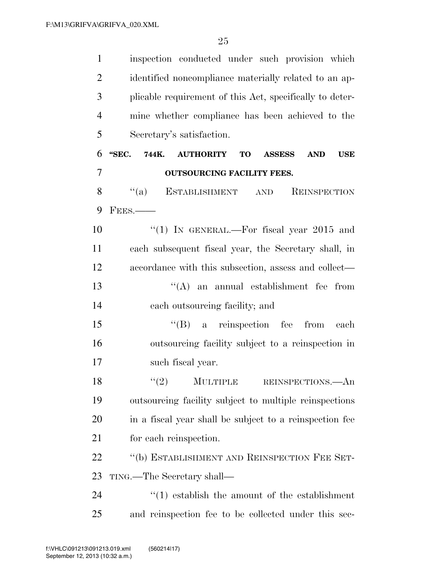| $\mathbf{1}$   | inspection conducted under such provision which                                       |
|----------------|---------------------------------------------------------------------------------------|
| $\overline{2}$ | identified noncompliance materially related to an ap-                                 |
| 3              | plicable requirement of this Act, specifically to deter-                              |
| $\overline{4}$ | mine whether compliance has been achieved to the                                      |
| 5              | Secretary's satisfaction.                                                             |
| 6              | 744K.<br>"SEC.<br><b>AUTHORITY</b><br>TO<br><b>ASSESS</b><br><b>AND</b><br><b>USE</b> |
| 7              | <b>OUTSOURCING FACILITY FEES.</b>                                                     |
| 8              | $\lq(a)$<br><b>ESTABLISHMENT</b><br>REINSPECTION<br>$\operatorname{AND}$              |
| 9              | $FEES$ .                                                                              |
| 10             | "(1) IN GENERAL.—For fiscal year $2015$ and                                           |
| 11             | each subsequent fiscal year, the Secretary shall, in                                  |
| 12             | accordance with this subsection, assess and collect—                                  |
| 13             | $\lq\lq$ and annual establishment fee from                                            |
| 14             | each outsourcing facility; and                                                        |
| 15             | $\lq\lq (B)$ a reinspection fee from<br>each                                          |
| 16             | outsourcing facility subject to a reinspection in                                     |
| 17             | such fiscal year.                                                                     |
| 18             | $\lq(2)$ MULTIPLE<br>REINSPECTIONS.—An                                                |
| 19             | outsourcing facility subject to multiple reinspections                                |
| 20             | in a fiscal year shall be subject to a reinspection fee                               |
| 21             | for each reinspection.                                                                |
| 22             | "(b) ESTABLISHMENT AND REINSPECTION FEE SET-                                          |
| 23             | TING.—The Secretary shall—                                                            |
| 24             | $\cdot$ (1) establish the amount of the establishment                                 |
| 25             | and reinspection fee to be collected under this sec-                                  |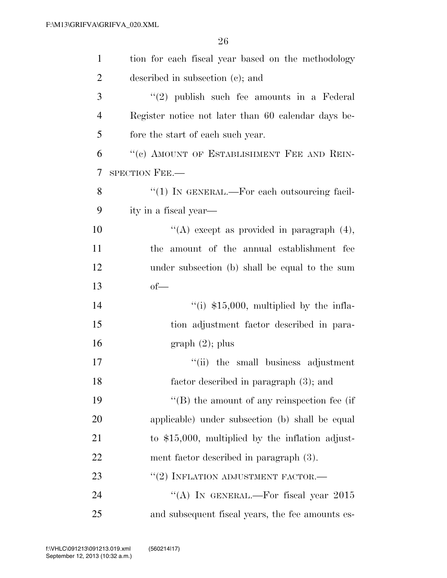| $\mathbf{1}$   | tion for each fiscal year based on the methodology  |
|----------------|-----------------------------------------------------|
| $\overline{2}$ | described in subsection (c); and                    |
| 3              | $(2)$ publish such fee amounts in a Federal         |
| $\overline{4}$ | Register notice not later than 60 calendar days be- |
| 5              | fore the start of each such year.                   |
| 6              | "(c) AMOUNT OF ESTABLISHMENT FEE AND REIN-          |
| 7              | SPECTION FEE.-                                      |
| 8              | $\lq(1)$ In GENERAL.—For each outsourcing facil-    |
| 9              | ity in a fiscal year—                               |
| 10             | "(A) except as provided in paragraph $(4)$ ,        |
| 11             | the amount of the annual establishment fee          |
| 12             | under subsection (b) shall be equal to the sum      |
| 13             | $of$ —                                              |
| 14             | $\lq($ i) \$15,000, multiplied by the infla-        |
| 15             | tion adjustment factor described in para-           |
| 16             | $graph(2)$ ; plus                                   |
| 17             | "(ii) the small business adjustment                 |
| 18             | factor described in paragraph (3); and              |
| 19             | $\lq\lq$ (B) the amount of any reinspection fee (if |
| 20             | applicable) under subsection (b) shall be equal     |
| 21             | to $$15,000$ , multiplied by the inflation adjust-  |
| 22             | ment factor described in paragraph (3).             |
| 23             | $``(2)$ INFLATION ADJUSTMENT FACTOR.—               |
| 24             | "(A) IN GENERAL.—For fiscal year $2015$             |
| 25             | and subsequent fiscal years, the fee amounts es-    |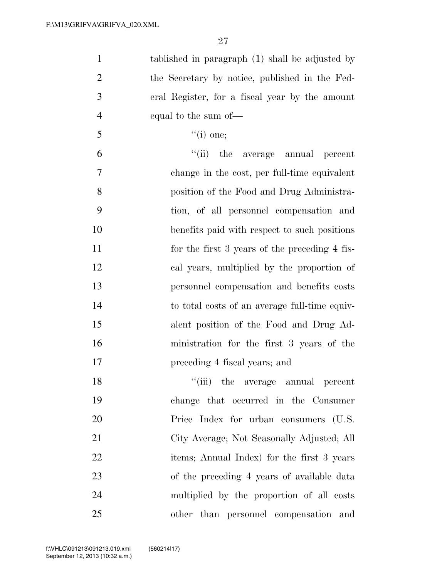| $\mathbf{1}$   | tablished in paragraph (1) shall be adjusted by |
|----------------|-------------------------------------------------|
| $\overline{2}$ | the Secretary by notice, published in the Fed-  |
| 3              | eral Register, for a fiscal year by the amount  |
| $\overline{4}$ | equal to the sum of—                            |
| $\mathfrak{S}$ | $``(i)$ one;                                    |
| 6              | "(ii) the average annual<br>percent             |
| $\tau$         | change in the cost, per full-time equivalent    |
| 8              | position of the Food and Drug Administra-       |
| 9              | tion, of all personnel compensation and         |
| 10             | benefits paid with respect to such positions    |
| 11             | for the first 3 years of the preceding 4 fis-   |
| 12             | cal years, multiplied by the proportion of      |
| 13             | personnel compensation and benefits costs       |
| 14             | to total costs of an average full-time equiv-   |
| 15             | alent position of the Food and Drug Ad-         |
| 16             | ministration for the first 3 years of the       |
| 17             | preceding 4 fiscal years; and                   |
| 18             | "(iii) the average annual percent               |
| 19             | change that occurred in the Consumer            |
| 20             | Price Index for urban consumers (U.S.           |
| 21             | City Average; Not Seasonally Adjusted; All      |
| 22             | items; Annual Index) for the first 3 years      |
| 23             | of the preceding 4 years of available data      |
| 24             | multiplied by the proportion of all costs       |
| 25             | other than personnel compensation and           |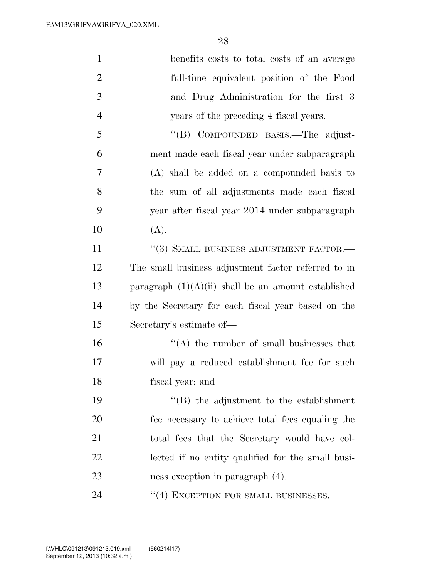| $\mathbf{1}$   | benefits costs to total costs of an average           |
|----------------|-------------------------------------------------------|
| $\overline{2}$ | full-time equivalent position of the Food             |
| 3              | and Drug Administration for the first 3               |
| $\overline{4}$ | years of the preceding 4 fiscal years.                |
| 5              | "(B) COMPOUNDED BASIS.—The adjust-                    |
| 6              | ment made each fiscal year under subparagraph         |
| 7              | (A) shall be added on a compounded basis to           |
| 8              | the sum of all adjustments made each fiscal           |
| 9              | year after fiscal year 2014 under subparagraph        |
| 10             | (A).                                                  |
| 11             | "(3) SMALL BUSINESS ADJUSTMENT FACTOR.-               |
| 12             | The small business adjustment factor referred to in   |
| 13             | paragraph $(1)(A)(ii)$ shall be an amount established |
| 14             | by the Secretary for each fiscal year based on the    |
| 15             | Secretary's estimate of-                              |
| 16             | $\lq\lq$ the number of small businesses that          |
| 17             | will pay a reduced establishment fee for such         |
| 18             | fiscal year; and                                      |
| 19             | $\lq\lq$ the adjustment to the establishment          |
| 20             | fee necessary to achieve total fees equaling the      |
| 21             | total fees that the Secretary would have col-         |
| 22             | lected if no entity qualified for the small busi-     |
| 23             | ness exception in paragraph (4).                      |
| 24             | "(4) EXCEPTION FOR SMALL BUSINESSES.—                 |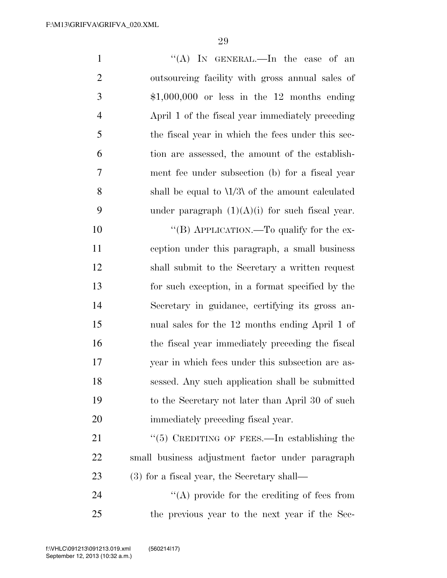1 ''(A) In GENERAL.—In the case of an outsourcing facility with gross annual sales of \$1,000,000 or less in the 12 months ending April 1 of the fiscal year immediately preceding the fiscal year in which the fees under this sec- tion are assessed, the amount of the establish- ment fee under subsection (b) for a fiscal year shall be equal to \1/3\ of the amount calculated 9 under paragraph  $(1)(A)(i)$  for such fiscal year. 10 "(B) APPLICATION.—To qualify for the ex- ception under this paragraph, a small business shall submit to the Secretary a written request for such exception, in a format specified by the Secretary in guidance, certifying its gross an-nual sales for the 12 months ending April 1 of

 the fiscal year immediately preceding the fiscal year in which fees under this subsection are as- sessed. Any such application shall be submitted to the Secretary not later than April 30 of such immediately preceding fiscal year.

21 "(5) CREDITING OF FEES.—In establishing the small business adjustment factor under paragraph (3) for a fiscal year, the Secretary shall—

24 ''(A) provide for the crediting of fees from the previous year to the next year if the Sec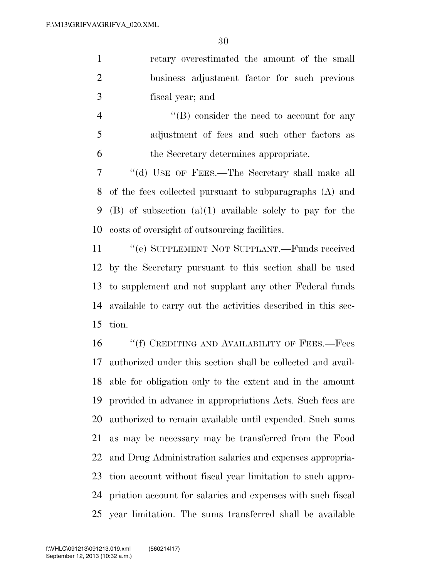retary overestimated the amount of the small business adjustment factor for such previous fiscal year; and

4 ''(B) consider the need to account for any adjustment of fees and such other factors as the Secretary determines appropriate.

 ''(d) USE OF FEES.—The Secretary shall make all of the fees collected pursuant to subparagraphs (A) and (B) of subsection (a)(1) available solely to pay for the costs of oversight of outsourcing facilities.

11 " (e) SUPPLEMENT NOT SUPPLANT.—Funds received by the Secretary pursuant to this section shall be used to supplement and not supplant any other Federal funds available to carry out the activities described in this sec-tion.

16 "'(f) CREDITING AND AVAILABILITY OF FEES.—Fees authorized under this section shall be collected and avail- able for obligation only to the extent and in the amount provided in advance in appropriations Acts. Such fees are authorized to remain available until expended. Such sums as may be necessary may be transferred from the Food and Drug Administration salaries and expenses appropria- tion account without fiscal year limitation to such appro- priation account for salaries and expenses with such fiscal year limitation. The sums transferred shall be available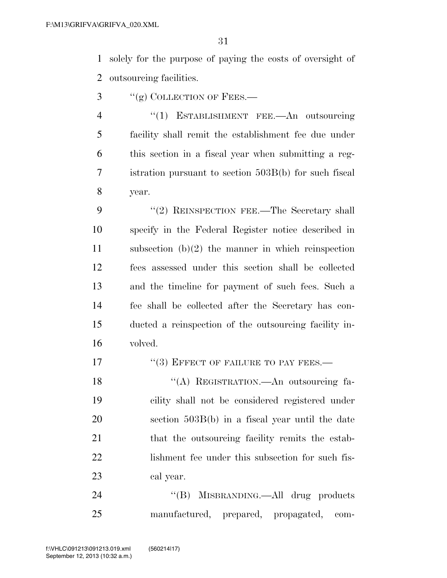solely for the purpose of paying the costs of oversight of outsourcing facilities.

- "(g) COLLECTION OF FEES.—
- 4 "(1) ESTABLISHMENT FEE.—An outsourcing facility shall remit the establishment fee due under this section in a fiscal year when submitting a reg- istration pursuant to section 503B(b) for such fiscal year.

9 "(2) REINSPECTION FEE.—The Secretary shall specify in the Federal Register notice described in subsection (b)(2) the manner in which reinspection fees assessed under this section shall be collected and the timeline for payment of such fees. Such a fee shall be collected after the Secretary has con- ducted a reinspection of the outsourcing facility in-volved.

17 "(3) EFFECT OF FAILURE TO PAY FEES.—

18 "(A) REGISTRATION.—An outsourcing fa- cility shall not be considered registered under section 503B(b) in a fiscal year until the date 21 that the outsourcing facility remits the estab- lishment fee under this subsection for such fis-cal year.

24 "(B) MISBRANDING.—All drug products manufactured, prepared, propagated, com-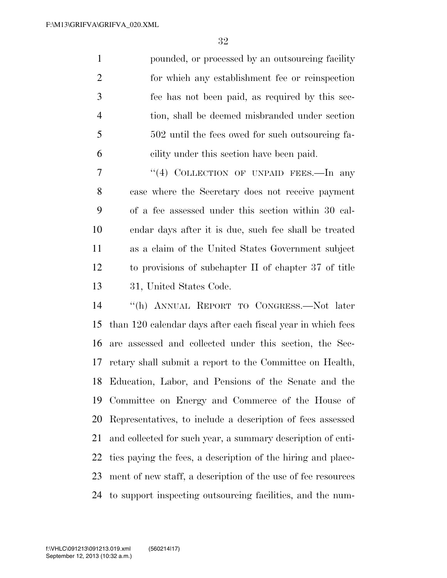pounded, or processed by an outsourcing facility for which any establishment fee or reinspection fee has not been paid, as required by this sec- tion, shall be deemed misbranded under section 502 until the fees owed for such outsourcing fa-cility under this section have been paid.

7 "(4) COLLECTION OF UNPAID FEES.—In any case where the Secretary does not receive payment of a fee assessed under this section within 30 cal- endar days after it is due, such fee shall be treated as a claim of the United States Government subject to provisions of subchapter II of chapter 37 of title 31, United States Code.

 ''(h) ANNUAL REPORT TO CONGRESS.—Not later than 120 calendar days after each fiscal year in which fees are assessed and collected under this section, the Sec- retary shall submit a report to the Committee on Health, Education, Labor, and Pensions of the Senate and the Committee on Energy and Commerce of the House of Representatives, to include a description of fees assessed and collected for such year, a summary description of enti- ties paying the fees, a description of the hiring and place- ment of new staff, a description of the use of fee resources to support inspecting outsourcing facilities, and the num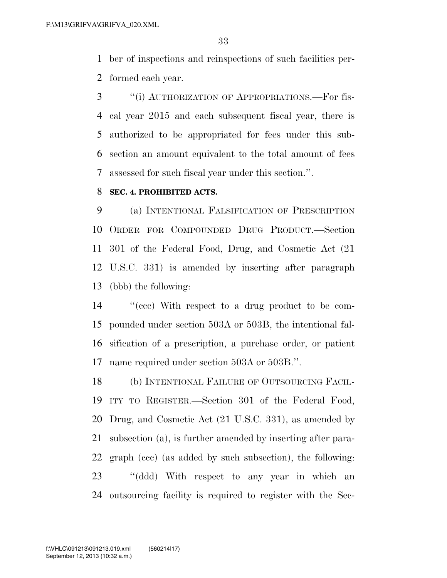ber of inspections and reinspections of such facilities per-formed each year.

 ''(i) AUTHORIZATION OF APPROPRIATIONS.—For fis- cal year 2015 and each subsequent fiscal year, there is authorized to be appropriated for fees under this sub- section an amount equivalent to the total amount of fees assessed for such fiscal year under this section.''.

#### **SEC. 4. PROHIBITED ACTS.**

 (a) INTENTIONAL FALSIFICATION OF PRESCRIPTION ORDER FOR COMPOUNDED DRUG PRODUCT.—Section 301 of the Federal Food, Drug, and Cosmetic Act (21 U.S.C. 331) is amended by inserting after paragraph (bbb) the following:

 ''(ccc) With respect to a drug product to be com- pounded under section 503A or 503B, the intentional fal- sification of a prescription, a purchase order, or patient name required under section 503A or 503B.''.

 (b) INTENTIONAL FAILURE OF OUTSOURCING FACIL- ITY TO REGISTER.—Section 301 of the Federal Food, Drug, and Cosmetic Act (21 U.S.C. 331), as amended by subsection (a), is further amended by inserting after para- graph (ccc) (as added by such subsection), the following: ''(ddd) With respect to any year in which an outsourcing facility is required to register with the Sec-